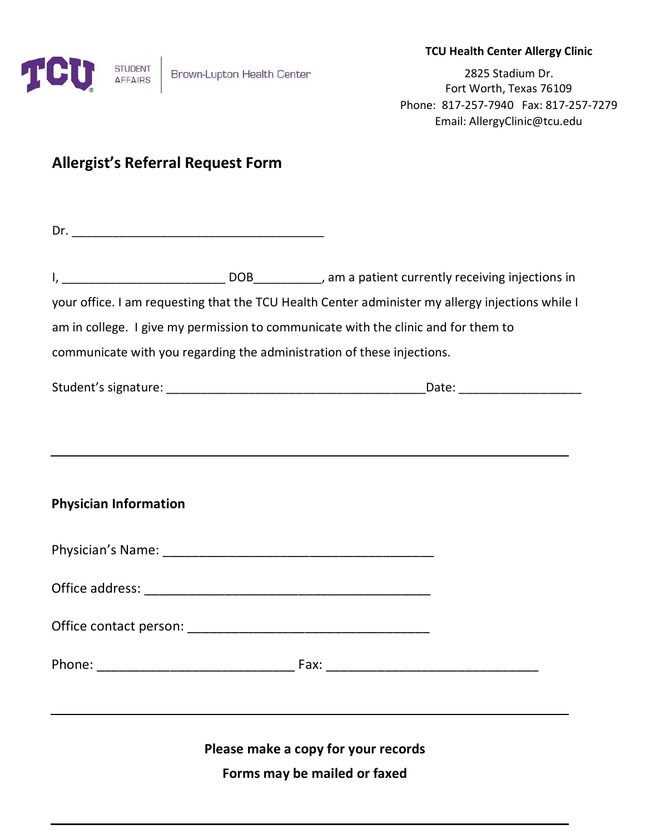

#### **TCU Health Center Allergy Clinic**

2825 Stadium Dr. Fort Worth, Texas 76109 Phone: 817-257-7940 Fax: 817-257-7279 Email: AllergyClinic@tcu.edu

# **Allergist's Referral Request Form**

|                              | your office. I am requesting that the TCU Health Center administer my allergy injections while I |
|------------------------------|--------------------------------------------------------------------------------------------------|
|                              | am in college. I give my permission to communicate with the clinic and for them to               |
|                              | communicate with you regarding the administration of these injections.                           |
|                              |                                                                                                  |
|                              |                                                                                                  |
| <b>Physician Information</b> |                                                                                                  |
|                              |                                                                                                  |
|                              |                                                                                                  |
|                              |                                                                                                  |
|                              |                                                                                                  |
|                              |                                                                                                  |
|                              | Please make a copy for your records                                                              |
|                              | Forms may be mailed or faxed                                                                     |